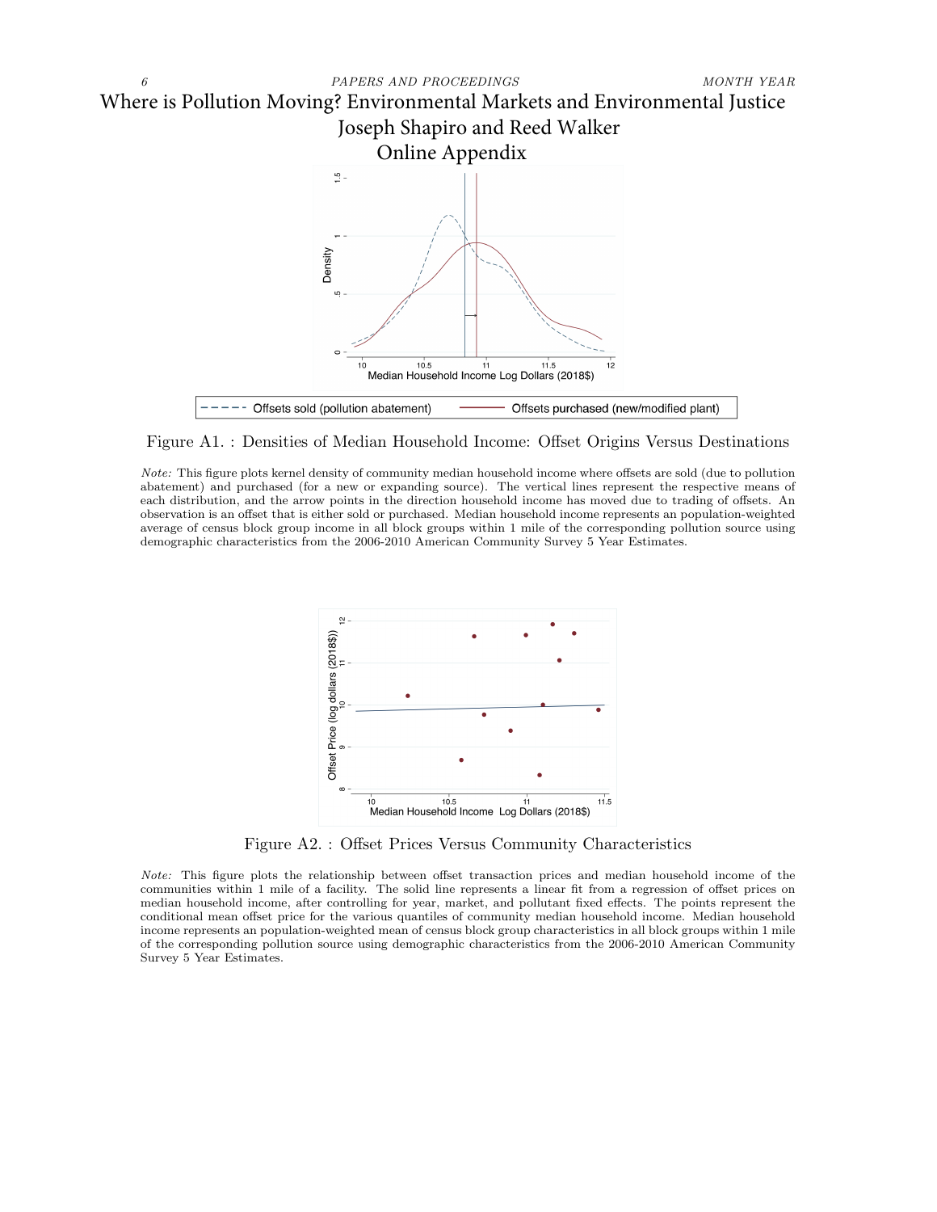

Figure A1. : Densities of Median Household Income: Offset Origins Versus Destinations

Note: This figure plots kernel density of community median household income where offsets are sold (due to pollution abatement) and purchased (for a new or expanding source). The vertical lines represent the respective means of each distribution, and the arrow points in the direction household income has moved due to trading of offsets. An observation is an offset that is either sold or purchased. Median household income represents an population-weighted average of census block group income in all block groups within 1 mile of the corresponding pollution source using demographic characteristics from the 2006-2010 American Community Survey 5 Year Estimates.



Figure A2. : Offset Prices Versus Community Characteristics

Note: This figure plots the relationship between offset transaction prices and median household income of the communities within 1 mile of a facility. The solid line represents a linear fit from a regression of offset prices on median household income, after controlling for year, market, and pollutant fixed effects. The points represent the conditional mean offset price for the various quantiles of community median household income. Median household income represents an population-weighted mean of census block group characteristics in all block groups within 1 mile of the corresponding pollution source using demographic characteristics from the 2006-2010 American Community Survey 5 Year Estimates.